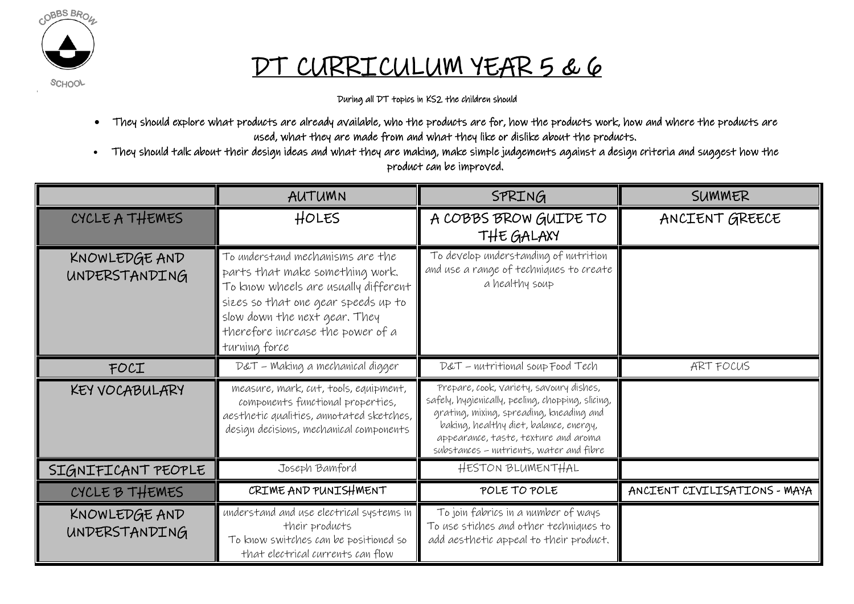

## DT CURRICULUM YEAR 5 & 6

**SCHOOL** 

During all DT topics in KS2 the children should

- They should explore what products are already available, who the products are for, how the products work, how and where the products are used, what they are made from and what they like or dislike about the products.
- They should talk about their design ideas and what they are making, make simple judgements against a design criteria and suggest how the product can be improved.

|                                | AUTUMN                                                                                                                                                                                                                                    | SPRING                                                                                                                                                                                                                                                                | SUMMER                       |
|--------------------------------|-------------------------------------------------------------------------------------------------------------------------------------------------------------------------------------------------------------------------------------------|-----------------------------------------------------------------------------------------------------------------------------------------------------------------------------------------------------------------------------------------------------------------------|------------------------------|
| CYCLE A THEMES                 | <b>HOLES</b>                                                                                                                                                                                                                              | A COBBS BROW GUIDE TO<br>THE GALAXY                                                                                                                                                                                                                                   | ANCIENT GREECE               |
| KNOWLEDGE AND<br>UNDERSTANDING | To understand mechanisms are the<br>parts that make something work.<br>To know wheels are usually different<br>sizes so that one gear speeds up to<br>slow down the next gear. They<br>therefore increase the power of a<br>turning force | To develop understanding of nutrition<br>and use a range of techniques to create<br>a healthy soup                                                                                                                                                                    |                              |
| FOCI                           | D&T - Making a mechanical digger                                                                                                                                                                                                          | D&T - nutritional soup Food Tech                                                                                                                                                                                                                                      | ART FOCUS                    |
| KEY VOCABULARY                 | measure, mark, cut, tools, equipment,<br>components functional properties,<br>aesthetic qualities, annotated sketches,<br>design decisions, mechanical components                                                                         | Prepare, cook, variety, savoury dishes,<br>safely, hygienically, peeling, chopping, slicing,<br>grating, mixing, spreading, kneading and<br>baking, healthy diet, balance, energy,<br>appearance, taste, texture and aroma<br>substances - nutrients, water and fibre |                              |
| SIGNIFICANT PEOPLE             | Joseph Bamford                                                                                                                                                                                                                            | HESTON BLUMENTHAL                                                                                                                                                                                                                                                     |                              |
| CYCLE B THEMES                 | CRIME AND PUNISHMENT                                                                                                                                                                                                                      | POLE TO POLE                                                                                                                                                                                                                                                          | ANCIENT CIVILISATIONS - MAYA |
| KNOWLEDGE AND<br>UNDERSTANDING | understand and use electrical systems in<br>their products<br>To know switches can be positioned so<br>that electrical currents can flow                                                                                                  | To join fabrics in a number of ways<br>To use stiches and other techniques to<br>add aesthetic appeal to their product.                                                                                                                                               |                              |